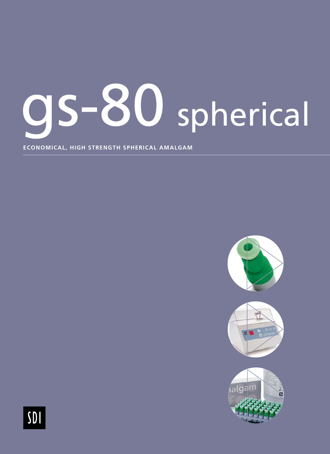# gs-80 spherical

**ECONOMICAL, HIGH STRENGTH SPHERICAL AMALGAM**



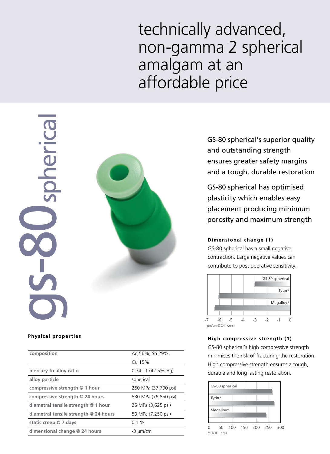## technically advanced, non-gamma 2 spherical amalgam at an affordable price



#### **Physical properties**

| Ag 56%, Sn 29%,             |
|-----------------------------|
| Cu 15%                      |
| $0.74:1(42.5\% \text{ Hg})$ |
| spherical                   |
| 260 MPa (37,700 psi)        |
| 530 MPa (76,850 psi)        |
| 25 MPa (3,625 psi)          |
| 50 MPa (7,250 psi)          |
| $0.1 \%$                    |
| -3 µm/cm                    |
|                             |

GS-80 spherical's superior quality and outstanding strength ensures greater safety margins and a tough, durable restoration

GS-80 spherical has optimised plasticity which enables easy placement producing minimum porosity and maximum strength

#### **Dimensional change (1)**

GS-80 spherical has a small negative contraction. Large negative values can contribute to post operative sensitivity.



### **High compressive strength (1)**

GS-80 spherical's high compressive strength minimises the risk of fracturing the restoration. High compressive strength ensures a tough, durable and long lasting restoration.

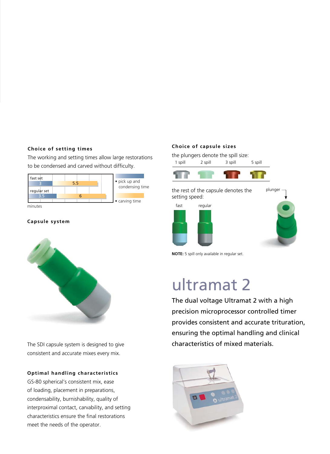#### **Choice of setting times**

The working and setting times allow large restorations to be condensed and carved without difficulty.



#### **Capsule system**



The SDI capsule system is designed to give consistent and accurate mixes every mix.

#### **Optimal handling characteristics**

GS-80 spherical's consistent mix, ease of loading, placement in preparations, condensability, burnishability, quality of interproximal contact, carvability, and setting characteristics ensure the final restorations meet the needs of the operator.

#### **Choice of capsule sizes**

the plungers denote the spill size:



the rest of the capsule denotes the setting speed:





**NOTE:** 5 spill only available in regular set.

## ultramat 2

The dual voltage Ultramat 2 with a high precision microprocessor controlled timer provides consistent and accurate trituration, ensuring the optimal handling and clinical characteristics of mixed materials.